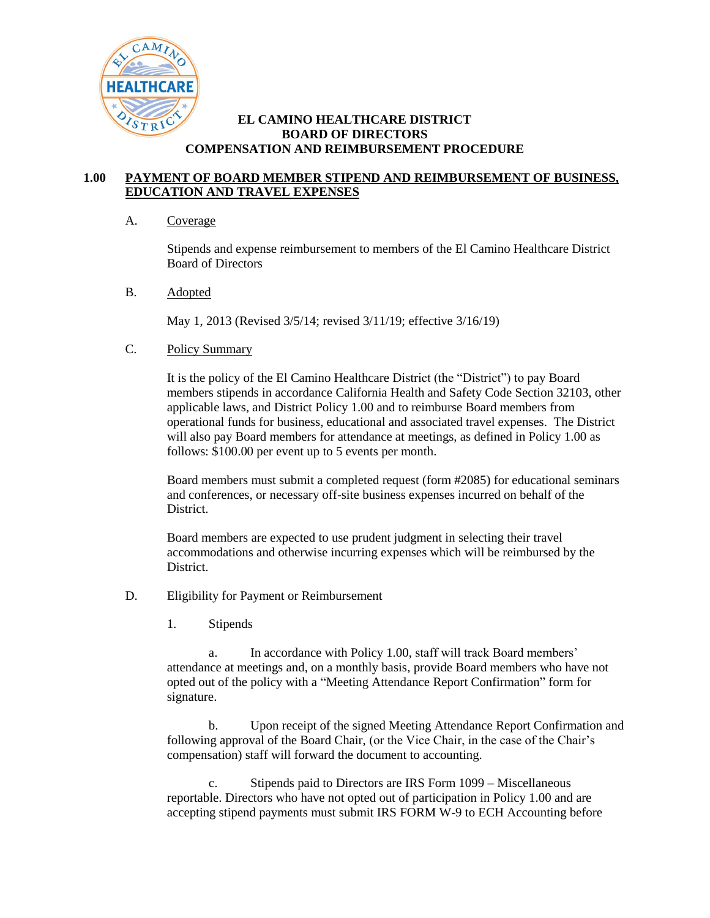

## **EL CAMINO HEALTHCARE DISTRICT BOARD OF DIRECTORS COMPENSATION AND REIMBURSEMENT PROCEDURE**

## **1.00 PAYMENT OF BOARD MEMBER STIPEND AND REIMBURSEMENT OF BUSINESS, EDUCATION AND TRAVEL EXPENSES**

## A. Coverage

Stipends and expense reimbursement to members of the El Camino Healthcare District Board of Directors

B. Adopted

May 1, 2013 (Revised 3/5/14; revised 3/11/19; effective 3/16/19)

## C. Policy Summary

It is the policy of the El Camino Healthcare District (the "District") to pay Board members stipends in accordance California Health and Safety Code Section 32103, other applicable laws, and District Policy 1.00 and to reimburse Board members from operational funds for business, educational and associated travel expenses. The District will also pay Board members for attendance at meetings, as defined in Policy 1.00 as follows: \$100.00 per event up to 5 events per month.

Board members must submit a completed request (form #2085) for educational seminars and conferences, or necessary off-site business expenses incurred on behalf of the District.

Board members are expected to use prudent judgment in selecting their travel accommodations and otherwise incurring expenses which will be reimbursed by the District.

- D. Eligibility for Payment or Reimbursement
	- 1. Stipends

a. In accordance with Policy 1.00, staff will track Board members' attendance at meetings and, on a monthly basis, provide Board members who have not opted out of the policy with a "Meeting Attendance Report Confirmation" form for signature.

b. Upon receipt of the signed Meeting Attendance Report Confirmation and following approval of the Board Chair, (or the Vice Chair, in the case of the Chair's compensation) staff will forward the document to accounting.

c. Stipends paid to Directors are IRS Form 1099 – Miscellaneous reportable. Directors who have not opted out of participation in Policy 1.00 and are accepting stipend payments must submit IRS FORM W-9 to ECH Accounting before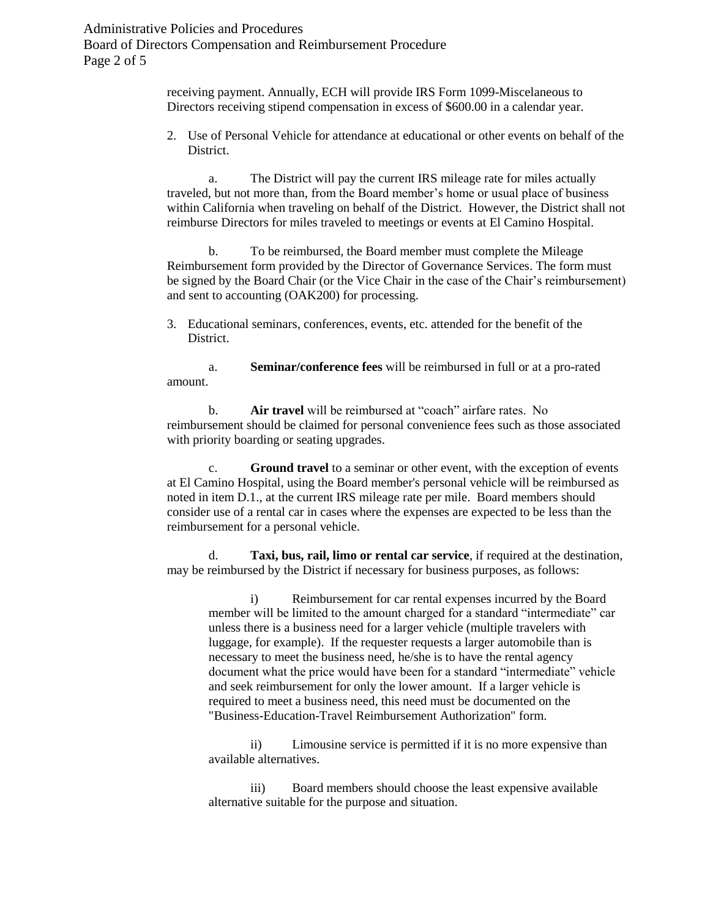Administrative Policies and Procedures Board of Directors Compensation and Reimbursement Procedure Page 2 of 5

> receiving payment. Annually, ECH will provide IRS Form 1099-Miscelaneous to Directors receiving stipend compensation in excess of \$600.00 in a calendar year.

2. Use of Personal Vehicle for attendance at educational or other events on behalf of the **District** 

a. The District will pay the current IRS mileage rate for miles actually traveled, but not more than, from the Board member's home or usual place of business within California when traveling on behalf of the District. However, the District shall not reimburse Directors for miles traveled to meetings or events at El Camino Hospital.

b. To be reimbursed, the Board member must complete the Mileage Reimbursement form provided by the Director of Governance Services. The form must be signed by the Board Chair (or the Vice Chair in the case of the Chair's reimbursement) and sent to accounting (OAK200) for processing.

3. Educational seminars, conferences, events, etc. attended for the benefit of the District.

a. **Seminar/conference fees** will be reimbursed in full or at a pro-rated amount.

b. **Air travel** will be reimbursed at "coach" airfare rates. No reimbursement should be claimed for personal convenience fees such as those associated with priority boarding or seating upgrades.

c. **Ground travel** to a seminar or other event, with the exception of events at El Camino Hospital, using the Board member's personal vehicle will be reimbursed as noted in item D.1., at the current IRS mileage rate per mile. Board members should consider use of a rental car in cases where the expenses are expected to be less than the reimbursement for a personal vehicle.

d. **Taxi, bus, rail, limo or rental car service**, if required at the destination, may be reimbursed by the District if necessary for business purposes, as follows:

i) Reimbursement for car rental expenses incurred by the Board member will be limited to the amount charged for a standard "intermediate" car unless there is a business need for a larger vehicle (multiple travelers with luggage, for example). If the requester requests a larger automobile than is necessary to meet the business need, he/she is to have the rental agency document what the price would have been for a standard "intermediate" vehicle and seek reimbursement for only the lower amount. If a larger vehicle is required to meet a business need, this need must be documented on the "Business-Education-Travel Reimbursement Authorization" form.

ii) Limousine service is permitted if it is no more expensive than available alternatives.

iii) Board members should choose the least expensive available alternative suitable for the purpose and situation.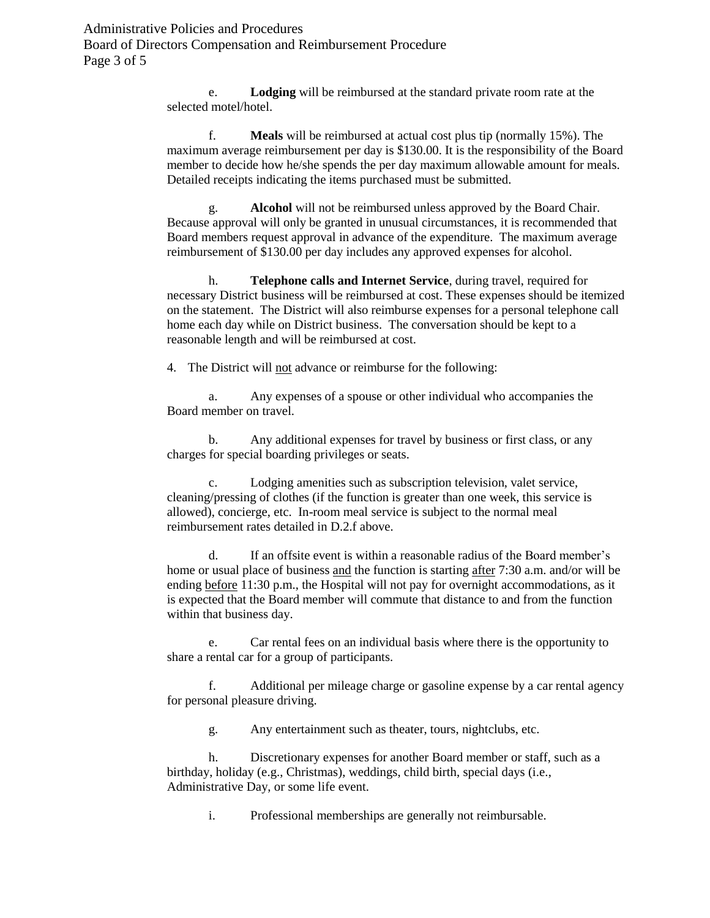Administrative Policies and Procedures Board of Directors Compensation and Reimbursement Procedure Page 3 of 5

> e. **Lodging** will be reimbursed at the standard private room rate at the selected motel/hotel.

f. **Meals** will be reimbursed at actual cost plus tip (normally 15%). The maximum average reimbursement per day is \$130.00. It is the responsibility of the Board member to decide how he/she spends the per day maximum allowable amount for meals. Detailed receipts indicating the items purchased must be submitted.

g. **Alcohol** will not be reimbursed unless approved by the Board Chair. Because approval will only be granted in unusual circumstances, it is recommended that Board members request approval in advance of the expenditure. The maximum average reimbursement of \$130.00 per day includes any approved expenses for alcohol.

h. **Telephone calls and Internet Service**, during travel, required for necessary District business will be reimbursed at cost. These expenses should be itemized on the statement. The District will also reimburse expenses for a personal telephone call home each day while on District business. The conversation should be kept to a reasonable length and will be reimbursed at cost.

4. The District will not advance or reimburse for the following:

a. Any expenses of a spouse or other individual who accompanies the Board member on travel.

b. Any additional expenses for travel by business or first class, or any charges for special boarding privileges or seats.

c. Lodging amenities such as subscription television, valet service, cleaning/pressing of clothes (if the function is greater than one week, this service is allowed), concierge, etc. In-room meal service is subject to the normal meal reimbursement rates detailed in D.2.f above.

d. If an offsite event is within a reasonable radius of the Board member's home or usual place of business and the function is starting after 7:30 a.m. and/or will be ending before 11:30 p.m., the Hospital will not pay for overnight accommodations, as it is expected that the Board member will commute that distance to and from the function within that business day.

e. Car rental fees on an individual basis where there is the opportunity to share a rental car for a group of participants.

f. Additional per mileage charge or gasoline expense by a car rental agency for personal pleasure driving.

g. Any entertainment such as theater, tours, nightclubs, etc.

h. Discretionary expenses for another Board member or staff, such as a birthday, holiday (e.g., Christmas), weddings, child birth, special days (i.e., Administrative Day, or some life event.

i. Professional memberships are generally not reimbursable.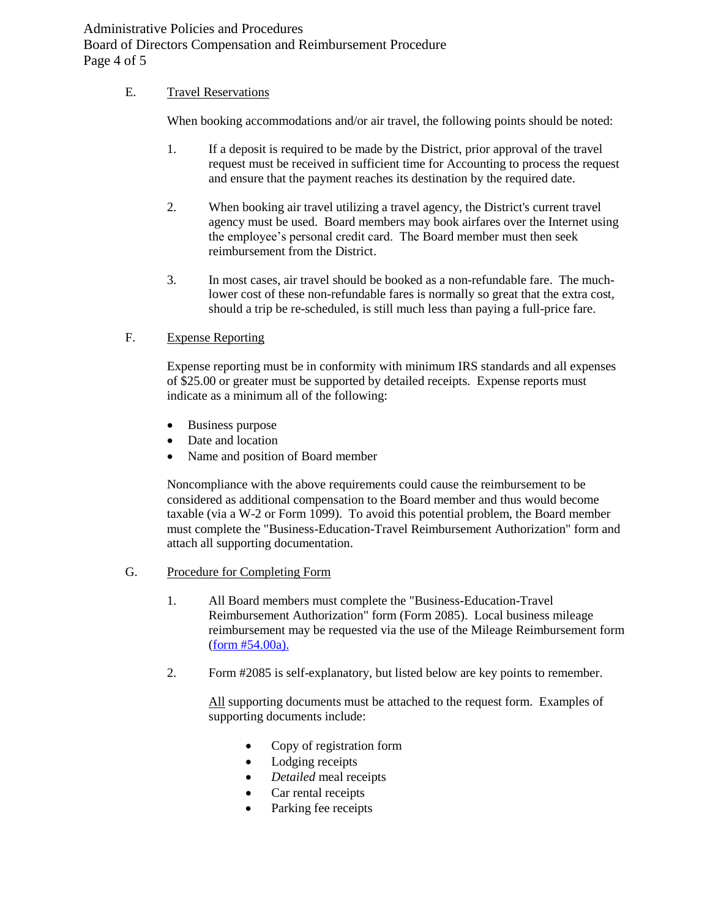Administrative Policies and Procedures Board of Directors Compensation and Reimbursement Procedure Page 4 of 5

## E. Travel Reservations

When booking accommodations and/or air travel, the following points should be noted:

- 1. If a deposit is required to be made by the District, prior approval of the travel request must be received in sufficient time for Accounting to process the request and ensure that the payment reaches its destination by the required date.
- 2. When booking air travel utilizing a travel agency, the District's current travel agency must be used. Board members may book airfares over the Internet using the employee's personal credit card. The Board member must then seek reimbursement from the District.
- 3. In most cases, air travel should be booked as a non-refundable fare. The muchlower cost of these non-refundable fares is normally so great that the extra cost, should a trip be re-scheduled, is still much less than paying a full-price fare.

# F. Expense Reporting

Expense reporting must be in conformity with minimum IRS standards and all expenses of \$25.00 or greater must be supported by detailed receipts. Expense reports must indicate as a minimum all of the following:

- Business purpose
- Date and location
- Name and position of Board member

Noncompliance with the above requirements could cause the reimbursement to be considered as additional compensation to the Board member and thus would become taxable (via a W-2 or Form 1099). To avoid this potential problem, the Board member must complete the "Business-Education-Travel Reimbursement Authorization" form and attach all supporting documentation.

### G. Procedure for Completing Form

- 1. All Board members must complete the "Business-Education-Travel Reimbursement Authorization" form (Form 2085). Local business mileage reimbursement may be requested via the use of the Mileage Reimbursement form [\(form #54.00a\).](file:///C:/Documents%20and%20Settings/monica_f/Local%20Settings/Temporary%20Internet%20Files/Desktop/Mileage%20Reimbursement%20FORM_54.00a.doc)
- 2. Form #2085 is self-explanatory, but listed below are key points to remember.

All supporting documents must be attached to the request form. Examples of supporting documents include:

- Copy of registration form
- Lodging receipts
- *Detailed* meal receipts
- Car rental receipts
- Parking fee receipts